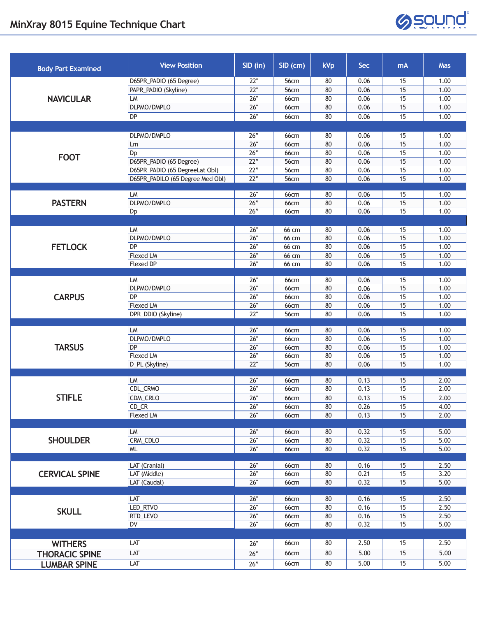

| <b>Body Part Examined</b> | <b>View Position</b>             | SID (in)   | $SID$ (cm)          | kVp      | Sec          | mA       | <b>Mas</b>   |
|---------------------------|----------------------------------|------------|---------------------|----------|--------------|----------|--------------|
| <b>NAVICULAR</b>          | D65PR_PADIO (65 Degree)          | 22"        | 56cm                | 80       | 0.06         | 15       | 1.00         |
|                           | PAPR_PADIO (Skyline)             | 22"        | 56cm                | 80       | 0.06         | 15       | 1.00         |
|                           | LM                               | 26"        | <b>66cm</b>         | 80       | 0.06         | 15       | 1.00         |
|                           | DLPMO/DMPLO                      | 26"        | <b>66cm</b>         | 80       | 0.06         | 15       | 1.00         |
|                           | DP                               | 26"        | 66cm                | 80       | 0.06         | 15       | 1.00         |
|                           |                                  |            |                     |          |              |          |              |
|                           | DLPMO/DMPLO                      | 26"        | 66cm                | 80       | 0.06         | 15       | 1.00         |
| <b>FOOT</b>               | Lm                               | 26"        | <b>66cm</b>         | 80       | 0.06         | 15       | 1.00         |
|                           | Dp                               | 26"        | <b>66cm</b>         | 80       | 0.06         | 15       | 1.00         |
|                           | D65PR_PADIO (65 Degree)          | 22"        | 56cm                | 80       | 0.06         | 15       | 1.00         |
|                           | D65PR_PADIO (65 DegreeLat Obl)   | 22"        | 56cm                | 80       | 0.06         | 15       | 1.00         |
|                           | D65PR_PADILO (65 Degree Med Obl) | 22"        | 56cm                | 80       | 0.06         | 15       | 1.00         |
|                           | LM                               | 26"        | 66cm                | 80       | 0.06         | 15       | 1.00         |
| <b>PASTERN</b>            | DLPMO/DMPLO                      | 26"        | <b>66cm</b>         | 80       | 0.06         | 15       | 1.00         |
|                           | Dp                               | 26"        | <b>66cm</b>         | 80       | 0.06         | 15       | 1.00         |
|                           |                                  |            |                     |          |              |          |              |
|                           | LM                               | 26"        | 66 cm               | 80       | 0.06         | 15       | 1.00         |
|                           | DLPMO/DMPLO                      | 26"        | 66 cm               | 80       | 0.06         | 15       | 1.00         |
| <b>FETLOCK</b>            | DP                               | 26"        | 66 cm               | 80       | 0.06         | 15       | 1.00         |
|                           | <b>Flexed LM</b>                 | 26"        | 66 cm               | 80       | 0.06         | 15       | 1.00         |
|                           | <b>Flexed DP</b>                 | 26"        | 66 cm               | 80       | 0.06         | 15       | 1.00         |
|                           |                                  |            |                     |          |              |          |              |
|                           | LM                               | 26"<br>26" | 66cm                | 80       | 0.06         | 15<br>15 | 1.00         |
|                           | DLPMO/DMPLO<br><b>DP</b>         |            | <b>66cm</b>         | 80       | 0.06         |          | 1.00         |
| <b>CARPUS</b>             | <b>Flexed LM</b>                 | 26"<br>26" | 66cm<br><b>66cm</b> | 80<br>80 | 0.06<br>0.06 | 15<br>15 | 1.00<br>1.00 |
|                           | DPR_DDIO (Skyline)               | 22"        | 56cm                | 80       | 0.06         | 15       | 1.00         |
|                           |                                  |            |                     |          |              |          |              |
|                           | LM                               | 26"        | 66cm                | 80       | 0.06         | 15       | 1.00         |
|                           | DLPMO/DMPLO                      | 26"        | <b>66cm</b>         | 80       | 0.06         | 15       | 1.00         |
| <b>TARSUS</b>             | DP                               | 26"        | <b>66cm</b>         | 80       | 0.06         | 15       | 1.00         |
|                           | <b>Flexed LM</b>                 | 26"        | 66cm                | 80       | 0.06         | 15       | 1.00         |
|                           | D_PL (Skyline)                   | 22"        | 56cm                | 80       | 0.06         | 15       | 1.00         |
|                           |                                  |            |                     |          |              |          |              |
| <b>STIFLE</b>             | LM<br>CDL_CRMO                   | 26"<br>26" | 66cm<br><b>66cm</b> | 80<br>80 | 0.13<br>0.13 | 15<br>15 | 2.00<br>2.00 |
|                           | CDM_CRLO                         | 26"        |                     |          | 0.13         | 15       | 2.00         |
|                           | $CD_CR$                          | 26"        | 66cm<br>66cm        | 80<br>80 | 0.26         | 15       | 4.00         |
|                           | <b>Flexed LM</b>                 | 26"        | <b>66cm</b>         | 80       | 0.13         | 15       | 2.00         |
|                           |                                  |            |                     |          |              |          |              |
| <b>SHOULDER</b>           | LM                               | 26"        | 66cm                | 80       | 0.32         | 15       | 5.00         |
|                           | CRM_CDLO                         | 26"        | <b>66cm</b>         | 80       | 0.32         | 15       | 5.00         |
|                           | <b>ML</b>                        | 26"        | <b>66cm</b>         | 80       | 0.32         | 15       | 5.00         |
|                           |                                  |            |                     |          |              |          |              |
| <b>CERVICAL SPINE</b>     | LAT (Cranial)                    | 26"        | 66cm                | 80       | 0.16         | 15       | 2.50         |
|                           | LAT (Middle)                     | 26"        | <b>66cm</b>         | 80       | 0.21         | 15       | 3.20         |
|                           | LAT (Caudal)                     | 26"        | <b>66cm</b>         | 80       | 0.32         | 15       | 5.00         |
| <b>SKULL</b>              | LAT                              | 26"        | 66cm                | 80       | 0.16         | 15       | 2.50         |
|                           | LED_RTVO                         | 26"        | <b>66cm</b>         | 80       | 0.16         | 15       | 2.50         |
|                           | RTD_LEVO                         | 26"        | <b>66cm</b>         | 80       | 0.16         | 15       | 2.50         |
|                           | DV                               | 26"        | 66cm                | 80       | 0.32         | 15       | 5.00         |
|                           |                                  |            |                     |          |              |          |              |
| <b>WITHERS</b>            | LAT                              | 26"        | 66cm                | 80       | 2.50         | 15       | 2.50         |
|                           | LAT                              |            | <b>66cm</b>         | 80       | 5.00         | 15       | 5.00         |
| <b>THORACIC SPINE</b>     |                                  | 26"        |                     |          |              |          |              |
| <b>LUMBAR SPINE</b>       | LAT                              | 26"        | 66cm                | 80       | 5.00         | 15       | 5.00         |